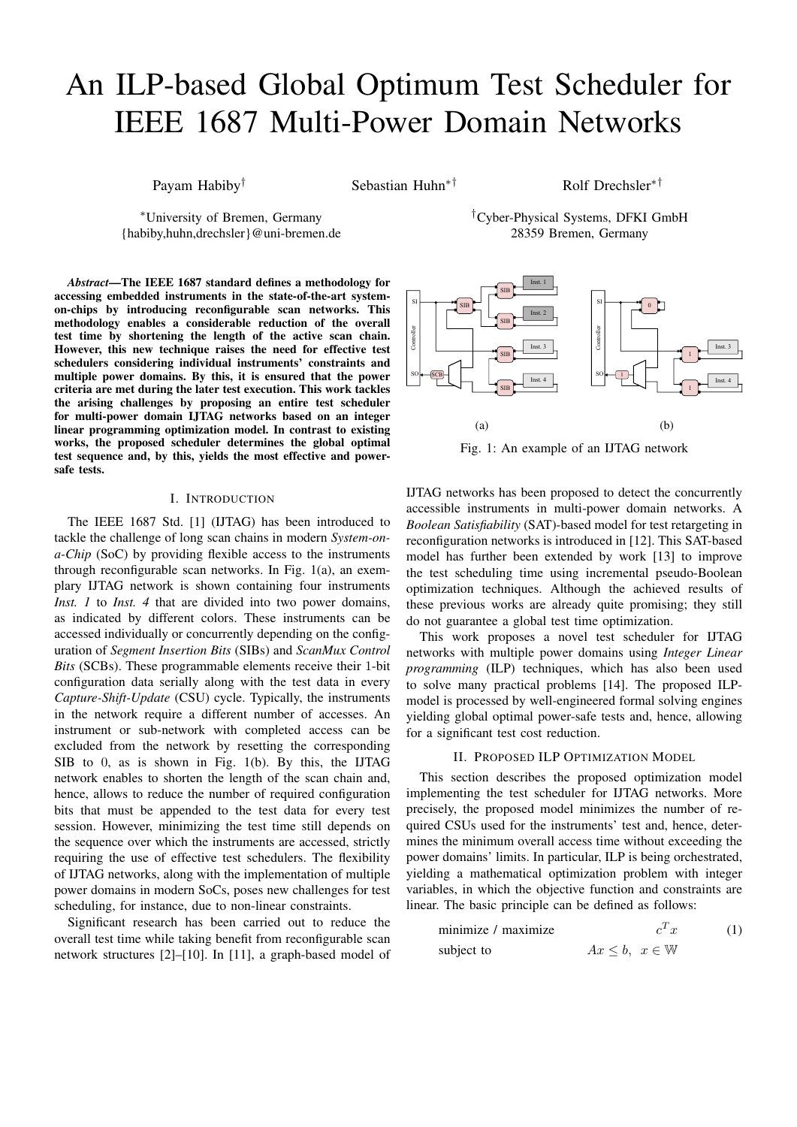# An ILP-based Global Optimum Test Scheduler for IEEE 1687 Multi-Power Domain Networks

Payam Habiby<sup>†</sup> Sebastian Huhn<sup>∗†</sup> Rolf Drechsler<sup>∗†</sup>

<sup>∗</sup>University of Bremen, Germany {habiby,huhn,drechsler}@uni-bremen.de

*Abstract*—The IEEE 1687 standard defines a methodology for accessing embedded instruments in the state-of-the-art systemon-chips by introducing reconfigurable scan networks. This methodology enables a considerable reduction of the overall test time by shortening the length of the active scan chain. However, this new technique raises the need for effective test schedulers considering individual instruments' constraints and multiple power domains. By this, it is ensured that the power criteria are met during the later test execution. This work tackles the arising challenges by proposing an entire test scheduler for multi-power domain IJTAG networks based on an integer linear programming optimization model. In contrast to existing works, the proposed scheduler determines the global optimal test sequence and, by this, yields the most effective and powersafe tests.

# I. INTRODUCTION

The IEEE 1687 Std. [1] (IJTAG) has been introduced to tackle the challenge of long scan chains in modern *System-ona-Chip* (SoC) by providing flexible access to the instruments through reconfigurable scan networks. In Fig. 1(a), an exemplary IJTAG network is shown containing four instruments *Inst. 1* to *Inst. 4* that are divided into two power domains, as indicated by different colors. These instruments can be accessed individually or concurrently depending on the configuration of *Segment Insertion Bits* (SIBs) and *ScanMux Control Bits* (SCBs). These programmable elements receive their 1-bit configuration data serially along with the test data in every *Capture-Shift-Update* (CSU) cycle. Typically, the instruments in the network require a different number of accesses. An instrument or sub-network with completed access can be excluded from the network by resetting the corresponding SIB to 0, as is shown in Fig. 1(b). By this, the IJTAG network enables to shorten the length of the scan chain and, hence, allows to reduce the number of required configuration bits that must be appended to the test data for every test session. However, minimizing the test time still depends on the sequence over which the instruments are accessed, strictly requiring the use of effective test schedulers. The flexibility of IJTAG networks, along with the implementation of multiple power domains in modern SoCs, poses new challenges for test scheduling, for instance, due to non-linear constraints.

Significant research has been carried out to reduce the overall test time while taking benefit from reconfigurable scan network structures [2]–[10]. In [11], a graph-based model of





Fig. 1: An example of an IJTAG network

IJTAG networks has been proposed to detect the concurrently accessible instruments in multi-power domain networks. A *Boolean Satisfiability* (SAT)-based model for test retargeting in reconfiguration networks is introduced in [12]. This SAT-based model has further been extended by work [13] to improve the test scheduling time using incremental pseudo-Boolean optimization techniques. Although the achieved results of these previous works are already quite promising; they still do not guarantee a global test time optimization.

This work proposes a novel test scheduler for IJTAG networks with multiple power domains using *Integer Linear programming* (ILP) techniques, which has also been used to solve many practical problems [14]. The proposed ILPmodel is processed by well-engineered formal solving engines yielding global optimal power-safe tests and, hence, allowing for a significant test cost reduction.

# II. PROPOSED ILP OPTIMIZATION MODEL

This section describes the proposed optimization model implementing the test scheduler for IJTAG networks. More precisely, the proposed model minimizes the number of required CSUs used for the instruments' test and, hence, determines the minimum overall access time without exceeding the power domains' limits. In particular, ILP is being orchestrated, yielding a mathematical optimization problem with integer variables, in which the objective function and constraints are linear. The basic principle can be defined as follows:

$$
\begin{array}{ll}\text{minimize} \quad & c^T x \quad (1) \\ \text{subject to} \quad & Ax \leq b, \ x \in \mathbb{W} \end{array}
$$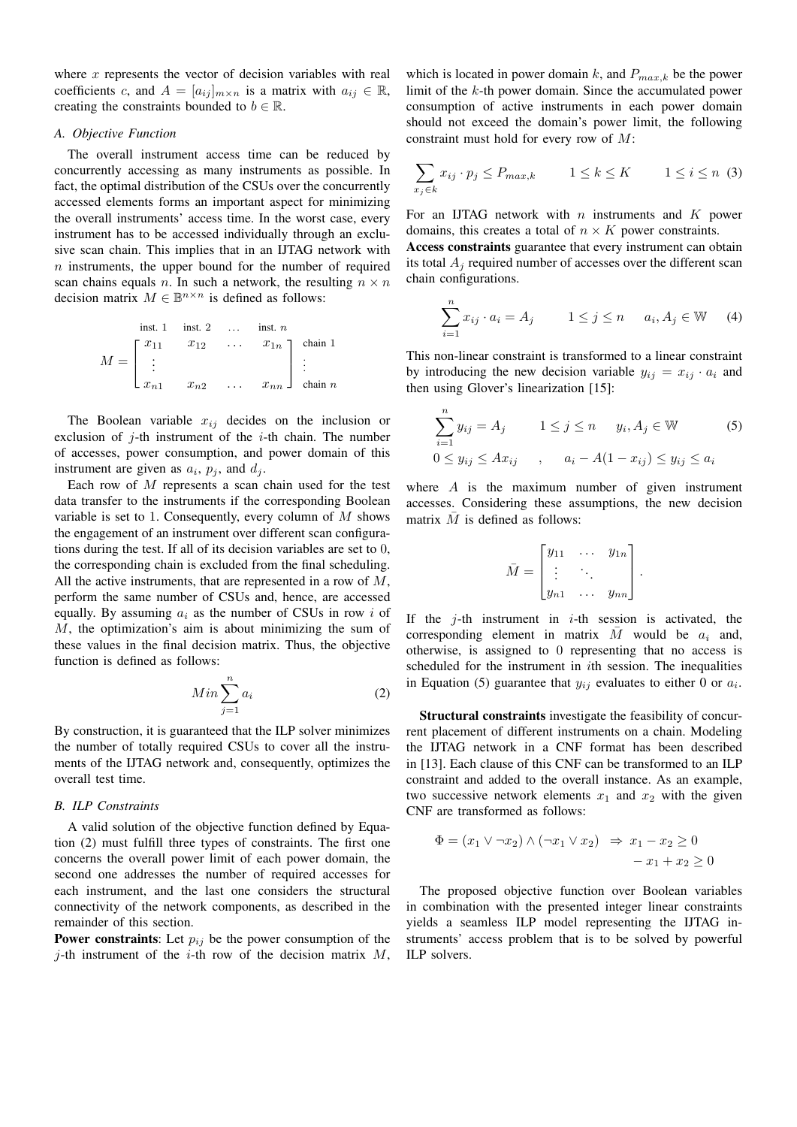where  $x$  represents the vector of decision variables with real coefficients c, and  $A = [a_{ij}]_{m \times n}$  is a matrix with  $a_{ij} \in \mathbb{R}$ , creating the constraints bounded to  $b \in \mathbb{R}$ .

## *A. Objective Function*

The overall instrument access time can be reduced by concurrently accessing as many instruments as possible. In fact, the optimal distribution of the CSUs over the concurrently accessed elements forms an important aspect for minimizing the overall instruments' access time. In the worst case, every instrument has to be accessed individually through an exclusive scan chain. This implies that in an IJTAG network with n instruments, the upper bound for the number of required scan chains equals n. In such a network, the resulting  $n \times n$ decision matrix  $M \in \mathbb{B}^{n \times n}$  is defined as follows:

inst. 1 inst. 2 ... inst. n  
\n
$$
M = \begin{bmatrix} x_{11} & x_{12} & \cdots & x_{1n} \\ \vdots & & & \vdots \\ x_{n1} & x_{n2} & \cdots & x_{nn} \end{bmatrix} \begin{bmatrix} \text{chain 1} \\ \text{chain n} \end{bmatrix}
$$

The Boolean variable  $x_{ij}$  decides on the inclusion or exclusion of  $j$ -th instrument of the  $i$ -th chain. The number of accesses, power consumption, and power domain of this instrument are given as  $a_i$ ,  $p_j$ , and  $d_j$ .

Each row of  $M$  represents a scan chain used for the test data transfer to the instruments if the corresponding Boolean variable is set to 1. Consequently, every column of  $M$  shows the engagement of an instrument over different scan configurations during the test. If all of its decision variables are set to 0, the corresponding chain is excluded from the final scheduling. All the active instruments, that are represented in a row of  $M$ , perform the same number of CSUs and, hence, are accessed equally. By assuming  $a_i$  as the number of CSUs in row i of M, the optimization's aim is about minimizing the sum of these values in the final decision matrix. Thus, the objective function is defined as follows:

$$
Min \sum_{j=1}^{n} a_i \tag{2}
$$

By construction, it is guaranteed that the ILP solver minimizes the number of totally required CSUs to cover all the instruments of the IJTAG network and, consequently, optimizes the overall test time.

# *B. ILP Constraints*

A valid solution of the objective function defined by Equation (2) must fulfill three types of constraints. The first one concerns the overall power limit of each power domain, the second one addresses the number of required accesses for each instrument, and the last one considers the structural connectivity of the network components, as described in the remainder of this section.

**Power constraints:** Let  $p_{ij}$  be the power consumption of the j-th instrument of the *i*-th row of the decision matrix  $M$ ,

which is located in power domain k, and  $P_{max,k}$  be the power limit of the k-th power domain. Since the accumulated power consumption of active instruments in each power domain should not exceed the domain's power limit, the following constraint must hold for every row of M:

$$
\sum_{x_j \in k} x_{ij} \cdot p_j \le P_{max,k} \qquad 1 \le k \le K \qquad 1 \le i \le n \tag{3}
$$

For an IJTAG network with  $n$  instruments and  $K$  power domains, this creates a total of  $n \times K$  power constraints.

Access constraints guarantee that every instrument can obtain its total  $A_i$  required number of accesses over the different scan chain configurations.

$$
\sum_{i=1}^{n} x_{ij} \cdot a_i = A_j \qquad 1 \le j \le n \qquad a_i, A_j \in \mathbb{W} \tag{4}
$$

This non-linear constraint is transformed to a linear constraint by introducing the new decision variable  $y_{ij} = x_{ij} \cdot a_i$  and then using Glover's linearization [15]:

$$
\sum_{i=1}^{n} y_{ij} = A_j \qquad 1 \le j \le n \qquad y_i, A_j \in \mathbb{W} \tag{5}
$$

$$
0 \le y_{ij} \le Ax_{ij} \qquad , \qquad a_i - A(1 - x_{ij}) \le y_{ij} \le a_i
$$

where  $A$  is the maximum number of given instrument accesses. Considering these assumptions, the new decision matrix  $\overline{M}$  is defined as follows:

$$
\bar{M} = \begin{bmatrix} y_{11} & \cdots & y_{1n} \\ \vdots & \ddots & \vdots \\ y_{n1} & \cdots & y_{nn} \end{bmatrix}.
$$

If the  $j$ -th instrument in  $i$ -th session is activated, the corresponding element in matrix  $\overline{M}$  would be  $a_i$  and, otherwise, is assigned to 0 representing that no access is scheduled for the instrument in ith session. The inequalities in Equation (5) guarantee that  $y_{ij}$  evaluates to either 0 or  $a_i$ .

Structural constraints investigate the feasibility of concurrent placement of different instruments on a chain. Modeling the IJTAG network in a CNF format has been described in [13]. Each clause of this CNF can be transformed to an ILP constraint and added to the overall instance. As an example, two successive network elements  $x_1$  and  $x_2$  with the given CNF are transformed as follows:

$$
\Phi = (x_1 \lor \neg x_2) \land (\neg x_1 \lor x_2) \Rightarrow x_1 - x_2 \ge 0
$$
  

$$
-x_1 + x_2 \ge 0
$$

The proposed objective function over Boolean variables in combination with the presented integer linear constraints yields a seamless ILP model representing the IJTAG instruments' access problem that is to be solved by powerful ILP solvers.